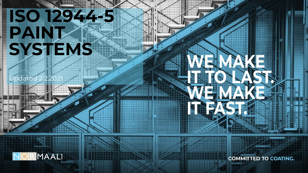# **ISO 12944-5 PAINT SYSTEMS**

Ipdated 2.2.2021



**COMMITTED TO COATING.**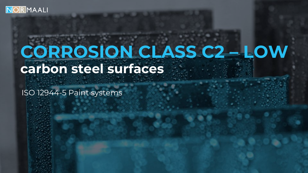

### **CORROSION CLASS C2 – LOW carbon steel surfaces**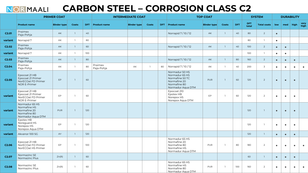#### **CARBON STEEL – CORROSION CLASS C2** NOR MAALI

|                   |                                                                                     | <b>PRIMER COAT</b> |              |     |                       | <b>INTERMEDIATE COAT</b> |                |     |                                                                                                          | <b>TOP COAT</b>    |                |            |                     | <b>SYSTEM</b>      |           | <b>DURABILITY</b> |           |              |
|-------------------|-------------------------------------------------------------------------------------|--------------------|--------------|-----|-----------------------|--------------------------|----------------|-----|----------------------------------------------------------------------------------------------------------|--------------------|----------------|------------|---------------------|--------------------|-----------|-------------------|-----------|--------------|
|                   | <b>Product name</b>                                                                 | <b>Binder type</b> | Coats        |     | DFT Product name      | <b>Binder type</b>       | Coats          | DFT | <b>Product name</b>                                                                                      | <b>Binder type</b> | Coats          | <b>DFT</b> | <b>DFT</b><br>total | <b>Total coats</b> | low       | med               | high      | very<br>high |
| C <sub>2.01</sub> | Praimex<br>Paja-Pohja                                                               | AK                 | $\mathbf{1}$ | 40  |                       |                          |                |     | Norrapid 7/10/12                                                                                         | AK                 | $\overline{1}$ | 40         | 80                  | $\overline{2}$     | $\bullet$ |                   |           |              |
| variant           | Norrapid 7                                                                          | AK                 | $\mathbf{1}$ | 80  |                       |                          |                |     |                                                                                                          |                    |                |            | 80                  | $\mathbf{1}$       | $\bullet$ |                   |           |              |
| C <sub>2.02</sub> | Praimex<br>Paja-Pohja                                                               | AK                 | $\mathbf{1}$ | 60  |                       |                          |                |     | Norrapid 7/10/12                                                                                         | <b>AK</b>          | $\overline{1}$ | 40         | 100                 | $2^{\circ}$        | $\bullet$ | $\bullet$         |           |              |
| variant           | Norrapid 7                                                                          | AK                 | $\mathbf{1}$ | 100 |                       |                          |                |     |                                                                                                          |                    |                |            | 100                 | $\mathbb{L}$       | $\bullet$ | $\bullet$         |           |              |
| C <sub>2.03</sub> | Praimex<br>Paja-Pohja                                                               | AK                 | $\mathbf{1}$ | 80  |                       |                          |                |     | Norrapid 7/10/12                                                                                         | AK                 | $\overline{1}$ | 80         | 160                 | $2^{\circ}$        | $\bullet$ | $\bullet$         | $\bullet$ |              |
| C <sub>2.04</sub> | Praimex<br>Paia-Pohia                                                               | AK                 | $\mathbf{1}$ | 80  | Praimex<br>Paja-Pohja | AK                       | $\overline{1}$ | 80  | Norrapid 7/10/12                                                                                         | AK                 | $\overline{1}$ | 40         | 200                 | $\overline{3}$     | $\bullet$ | $\bullet$         | $\bullet$ | $\bullet$    |
| C <sub>2.05</sub> | Epocoat 21 HB<br>Epocoat 21 Primer<br>NorECOat FD Primer<br><b>NOR E-Primer</b>     | EP                 | -1           | 60  |                       |                          |                |     | Normadur 50 HS<br>Normadur 65 HS<br>Normafine 50 TC<br>Normafine 20<br>Normafine 80<br>Normadur Aqua DTM | <b>PUR</b>         | $\overline{1}$ | 60         | 120                 | $\overline{2}$     | $\bullet$ | $\bullet$         | $\bullet$ |              |
| variant           | Epocoat 21 HB<br>Epocoat 21 Primer<br>NorECOat FD Primer<br><b>NOR E-Primer</b>     | EP                 | $\mathbf{1}$ | 60  |                       |                          |                |     | Epocoat 210<br>Epotex HB<br>Norepox HS<br>Norepox Aqua DTM                                               | EP                 | $\overline{1}$ | 60         | 120                 | $\overline{2}$     | $\bullet$ | $\bullet$         | $\bullet$ |              |
| variant           | Normadur 65 HS<br>Normafine HS<br>Normafine 20<br>Normafine 80<br>Normadur Aqua DTM | <b>PUR</b>         | $\mathbf{1}$ | 120 |                       |                          |                |     |                                                                                                          |                    |                |            | 120                 | $\overline{1}$     | $\bullet$ | $\bullet$         | $\bullet$ |              |
| variant           | Epotex HB<br>Noreguard HS<br>Norepox HS<br>Norepox Aqua DTM                         | EP                 | $\mathbf{1}$ | 120 |                       |                          |                |     |                                                                                                          |                    |                |            | 120                 | $\overline{1}$     | $\bullet$ | $\bullet$         | $\bullet$ |              |
| variant           | Akvanor 100 SG                                                                      | AY                 | $\mathbf{1}$ | 120 |                       |                          |                |     |                                                                                                          |                    |                |            | 120                 | $\mathbf{1}$       | $\bullet$ | $\bullet$         | $\bullet$ |              |
| C <sub>2.06</sub> | Epocoat 21 HB<br>NorECOat FD Primer<br>NorECOat HS Primer                           | EP                 | $\mathbf{1}$ | 100 |                       |                          |                |     | Normadur 65 HS<br>Normafine 20<br>Normafine 80<br>Normafine HS<br>Normadur Aqua DTM                      | <b>PUR</b>         | $\overline{1}$ | 80         | 180                 | $\overline{2}$     | $\bullet$ | $\bullet$         | $\bullet$ | $\bullet$    |
| C <sub>2.07</sub> | Normazinc SE<br>Normazinc Plus                                                      | Zn(R)              | $\mathbf{1}$ | 60  |                       |                          |                |     |                                                                                                          |                    |                |            | 60                  | $\mathbf{1}$       | $\bullet$ | $\bullet$         | $\bullet$ |              |
| C <sub>2.08</sub> | Normazinc SE<br>Normazinc Plus                                                      | Zn(R)              | $\mathbf{1}$ | 60  |                       |                          |                |     | Normadur 65 HS<br>Normafine HS<br>Normafine 80<br>Normadur Aqua DTM                                      | <b>PUR</b>         | $\overline{1}$ | 100        | 160                 | $\overline{2}$     | $\bullet$ | $\bullet$         |           | $\bullet$    |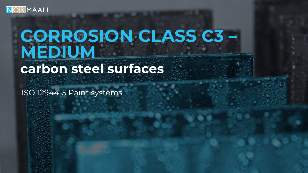

### **CORROSION CLASS C3 – MEDIUM carbon steel surfaces**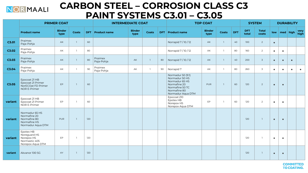

### **CARBON STEEL – CORROSION CLASS C3 PAINT SYSTEMS C3.01 – C3.05**

|         |                                                                                     | <b>PRIMER COAT</b>    |                |     | <b>INTERMEDIATE COAT</b> |                       |              |     |                                                                                                                               | <b>TOP COAT</b>       |                |            |                     | <b>SYSTEM</b>         |           | <b>DURABILITY</b> |           |              |
|---------|-------------------------------------------------------------------------------------|-----------------------|----------------|-----|--------------------------|-----------------------|--------------|-----|-------------------------------------------------------------------------------------------------------------------------------|-----------------------|----------------|------------|---------------------|-----------------------|-----------|-------------------|-----------|--------------|
|         | <b>Product name</b>                                                                 | <b>Binder</b><br>type | <b>Coats</b>   |     | <b>DFT</b> Product name  | <b>Binder</b><br>type | <b>Coats</b> | DFT | <b>Product name</b>                                                                                                           | <b>Binder</b><br>type | <b>Coats</b>   | <b>DFT</b> | <b>DFT</b><br>total | <b>Total</b><br>coats |           | $low$ med high    |           | very<br>high |
| C3.01   | Praimex<br>Paja-Pohja                                                               | AK                    | $\mathbf{1}$   | 60  |                          |                       |              |     | Norrapid 7/10/12                                                                                                              | AK                    | $\overline{1}$ | 40         | 100                 | $\overline{2}$        | $\bullet$ |                   |           |              |
| C3.02   | Praimex<br>Paja-Pohja                                                               | AK                    | $\mathbf{1}$   | 80  |                          |                       |              |     | Norrapid 7/10/12                                                                                                              | AK                    | $\mathbf{1}$   | 80         | 160                 | $\overline{2}$        | $\bullet$ | $\bullet$         |           |              |
| C3.03   | Praimex<br>Paja-Pohja                                                               | AK                    | $\overline{1}$ | 80  | Praimex<br>Paja-Pohja    | AK                    | $\mathbf{1}$ | 80  | Norrapid 7 / 10 / 12                                                                                                          | AK                    | $\overline{1}$ | 40         | 200                 | $\overline{3}$        | $\bullet$ | $\bullet$         | $\bullet$ |              |
| C3.04   | Praimex<br>Paja-Pohja                                                               | AK                    | $\mathbf{1}$   | 90  | Praimex<br>Paja-Pohja    | AK                    | $\mathbf{1}$ | 90  | Norrapid 7                                                                                                                    | AK                    | $\overline{1}$ | 80         | 260                 | 3                     | $\bullet$ | $\bullet$         | $\bullet$ | $\bullet$    |
| C3.05   | Epocoat 21 HB<br>Epocoat 21 Primer<br>NorECOat FD Primer<br>NOR E-Primer            | EP                    |                | 60  |                          |                       |              |     | Normadur 50 (9:1)<br>Normadur 50 HS<br>Normadur 65 HS<br>Normafine 20<br>Normafine 50 TC<br>Normafine 80<br>Normadur Aqua DTM | <b>PUR</b>            | $\overline{1}$ | 60         | 120                 | $\overline{2}$        | $\bullet$ | $\bullet$         |           |              |
| variant | Epocoat 21 HB<br>Epocoat 21 Primer<br>NOR E-Primer                                  | EP                    |                | 60  |                          |                       |              |     | Epocoat 210<br>Epotex HB<br>Norepox HS<br>Norepox Aqua DTM                                                                    | EP                    | $\overline{1}$ | 60         | 120                 | $\overline{2}$        | $\bullet$ | $\bullet$         |           |              |
| variant | Normadur 65 HS<br>Normafine 20<br>Normafine 80<br>Normafine HS<br>Normadur Aqua DTM | PUR                   |                | 120 |                          |                       |              |     |                                                                                                                               |                       |                |            | 120                 | $\mathbf{1}$          | $\bullet$ | $\bullet$         |           |              |
| variant | Epotex HB<br>Noreguard HS<br>Norepox HS<br>Normastic 405<br>Norepox Aqua DTM        | EP                    |                | 120 |                          |                       |              |     |                                                                                                                               |                       |                |            | 120                 | $\overline{1}$        | $\bullet$ | $\bullet$         |           |              |
| variant | Akvanor 100 SG                                                                      | AY                    | $\mathbf{1}$   | 120 |                          |                       |              |     |                                                                                                                               |                       |                |            | 120                 | $\mathbf{1}$          | $\bullet$ | $\bullet$         |           |              |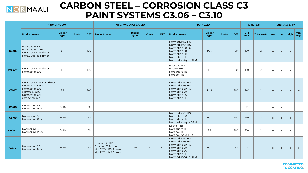

### **CARBON STEEL – CORROSION CLASS C3 PAINT SYSTEMS C3.06 – C3.10**

|         |                                                                                                               | <b>PRIMER COAT</b>    |              |     | <b>INTERMEDIATE COAT</b>                                                       |                       |                |            |                                                                                                                          | <b>TOP COAT</b>       |                |            |                     | <b>SYSTEM</b>     |           |           | <b>DURABILITY</b> |              |
|---------|---------------------------------------------------------------------------------------------------------------|-----------------------|--------------|-----|--------------------------------------------------------------------------------|-----------------------|----------------|------------|--------------------------------------------------------------------------------------------------------------------------|-----------------------|----------------|------------|---------------------|-------------------|-----------|-----------|-------------------|--------------|
|         | <b>Product name</b>                                                                                           | <b>Binder</b><br>type | Coats        |     | <b>DFT</b> Product name                                                        | <b>Binder</b><br>type | Coats          | <b>DFT</b> | <b>Product name</b>                                                                                                      | <b>Binder</b><br>type | <b>Coats</b>   | <b>DFT</b> | <b>DFT</b><br>total | Total coats   low |           | med high  |                   | very<br>high |
| C3.06   | Epocoat 21 HB<br>Epocoat 21 Primer<br>NorECOat FD Primer<br>NorECOat HS Primer                                | <b>EP</b>             | $\mathbf{1}$ | 100 |                                                                                |                       |                |            | Normadur 50 HS<br>Normadur 65 HS<br>Normafine 50 TC<br>Normafine 20<br>Normafine 80<br>Normafine HS<br>Normadur Aqua DTM | PUR                   | $\overline{1}$ | 80         | 180                 | $\overline{2}$    | $\bullet$ | $\bullet$ | $\bullet$         |              |
| variant | NorECOat FD Primer<br>Normastic 405                                                                           | EP                    | $\mathbf{1}$ | 100 |                                                                                |                       |                |            | Epocoat 210<br>Epotex HB<br>Noreguard HS<br>Norepox HS                                                                   | EP                    | $\mathbf{1}$   | 80         | 180                 | 2                 | $\bullet$ | $\bullet$ | $\bullet$         |              |
| C3.07   | NorECOat FD MIO Primer<br>Normastic 405 AL<br>Normastic 405<br>Harmaa, grey<br>Normastic 405<br>Punainen, red | EP                    | $\mathbf{1}$ | 140 |                                                                                |                       |                |            | Normadur 50 HS<br>Normadur 65 HS<br>Normafine 50 TC<br>Normafine 20<br>Normafine 80<br>Normafine HS                      | <b>PUR</b>            | $\mathbf{1}$   | 100        | 240                 | 2                 | $\bullet$ | $\bullet$ | $\bullet$         |              |
| C3.08   | Normazinc SE<br>Normazinc Plus                                                                                | Zn(R)                 | $\mathbf{1}$ | 60  |                                                                                |                       |                |            |                                                                                                                          |                       |                |            | 60                  | $\mathbf{1}$      | $\bullet$ | $\bullet$ |                   |              |
| C3.09   | Normazinc SE<br>Normazinc Plus                                                                                | Zn(R)                 | $\mathbf{1}$ | 60  |                                                                                |                       |                |            | Normadur 65 HS<br>Normafine 80<br>Normafine HS<br>Normadur Aqua DTM                                                      | PUR                   | $\mathbf{1}$   | 100        | 160                 | $\overline{2}$    | $\bullet$ | $\bullet$ | $\bullet$         |              |
| variant | Normazinc SE<br>Normazinc Plus                                                                                | Zn(R)                 | $\mathbf{1}$ | 60  |                                                                                |                       |                |            | Epotex HB<br>Noreguard HS<br>Norepox HS<br>Norepox Aqua DTM                                                              | EP                    | $\overline{1}$ | 100        | 160                 | $\overline{2}$    | $\bullet$ | $\bullet$ | $\bullet$         |              |
| C3.10   | Normazinc SE<br>Normazinc Plus                                                                                | Zn(R)                 | $\mathbf{1}$ | 60  | Epocoat 21 HB<br>Epocoat 21 Primer<br>NorECOat FD Primer<br>NorECOat HS Primer | EP                    | $\overline{1}$ | 80         | Normadur 50 HS<br>Normadur 65 HS<br>Normafine 50 TC<br>Normafine 20<br>Normafine 80<br>Normafine HS<br>Normadur Aqua DTM | PUR                   | $\overline{1}$ | 60         | 200                 | $\overline{3}$    | $\bullet$ | $\bullet$ | $\bullet$         |              |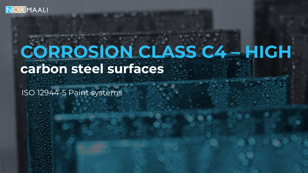

# **CORROSION CLASS C4 – HIGH carbon steel surfaces**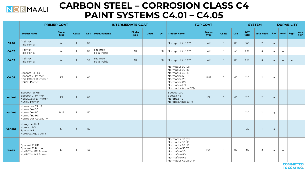

### **CARBON STEEL – CORROSION CLASS C4 PAINT SYSTEMS C4.01 – C4.05**

|         |                                                                                     | <b>PRIMER COAT</b>    |                |     | <b>INTERMEDIATE COAT</b> |                       |              |            |                                                                                                                                               | <b>TOP COAT</b>       |                |            |                     | <b>SYSTEM</b>      |           |           | <b>DURABILITY</b> |              |
|---------|-------------------------------------------------------------------------------------|-----------------------|----------------|-----|--------------------------|-----------------------|--------------|------------|-----------------------------------------------------------------------------------------------------------------------------------------------|-----------------------|----------------|------------|---------------------|--------------------|-----------|-----------|-------------------|--------------|
|         | <b>Product name</b>                                                                 | <b>Binder</b><br>type | <b>Coats</b>   | DFT | <b>Product name</b>      | <b>Binder</b><br>type | Coats        | <b>DFT</b> | <b>Product name</b>                                                                                                                           | <b>Binder</b><br>type | <b>Coats</b>   | <b>DFT</b> | <b>DFT</b><br>total | <b>Total coats</b> | low       | med       | high              | very<br>high |
| C4.01   | Praimex<br>Paja-Pohja                                                               | AK                    | $\mathbf{1}$   | 80  |                          |                       |              |            | Norrapid 7/10/12                                                                                                                              | AK                    | $\overline{1}$ | 80         | 160                 | $\overline{2}$     | $\bullet$ |           |                   |              |
| C4.02   | Praimex<br>Paja-Pohja                                                               | AK                    | $\overline{1}$ | 80  | Praimex<br>Paja-Pohja    | AK                    | $\mathbb{L}$ | 80         | Norrapid 7/10/12                                                                                                                              | AK                    | $\overline{1}$ | 40         | 200                 | $\overline{3}$     | $\bullet$ | $\bullet$ |                   |              |
| C4.03   | Praimex<br>Paja-Pohja                                                               | AK                    | $\mathbf{1}$   | 90  | Praimex<br>Paja-Pohja    | AK                    | $\mathbf{1}$ | 90         | Norrapid 7/10/12                                                                                                                              | AK                    | $\overline{1}$ | 80         | 260                 | $\overline{3}$     | $\bullet$ | $\bullet$ | $\bullet$         |              |
| C4.04   | Epocoat 21 HB<br>Epocoat 21 Primer<br>NorECOat FD Primer<br>NOR E-Primer            | EP                    |                | 60  |                          |                       |              |            | Normadur 50 (9:1)<br>Normadur 50 HS<br>Normadur 65 HS<br>Normafine 50 TC<br>Normafine 20<br>Normafine 80<br>Normafine HS<br>Normadur Aqua DTM | <b>PUR</b>            |                | 60         | 120                 | 2                  | $\bullet$ |           |                   |              |
| variant | Epocoat 21 HB<br>Epocoat 21 Primer<br>NorECOat FD Primer<br>NOR E-Primer            | EP                    | $\mathbf{1}$   | 60  |                          |                       |              |            | Epocoat 210<br>Epotex HB<br>Norepox HS<br>Norepox Aqua DTM                                                                                    | EP                    | $\overline{1}$ | 60         | 120                 | $\overline{2}$     | $\bullet$ |           |                   |              |
| variant | Normadur 65 HS<br>Normafine 20<br>Normafine 80<br>Normafine HS<br>Normadur Aqua DTM | PUR                   | $\overline{1}$ | 120 |                          |                       |              |            |                                                                                                                                               |                       |                |            | 120                 | $\overline{1}$     | $\bullet$ |           |                   |              |
| variant | Noreguard HS<br>Norepox HX<br>Epotex HB<br>Norepox Aqua DTM                         | EP                    | $\mathbf{1}$   | 120 |                          |                       |              |            |                                                                                                                                               |                       |                |            | 120                 | $\mathbf{1}$       | $\bullet$ |           |                   |              |
| C4.05   | Epocoat 21 HB<br>Epocoat 21 Primer<br>NorECOat FD Primer<br>NorECOat HS Primer      | EP                    | $\mathbf{1}$   | 100 |                          |                       |              |            | Normadur 50 (9:1)<br>Normadur 50 HS<br>Normadur 65 HS<br>Normafine 50 TC<br>Normafine 20<br>Normafine 80<br>Normafine HS<br>Normadur Aqua DTM | <b>PUR</b>            | $\overline{1}$ | 80         | 180                 | 2                  | $\bullet$ | $\bullet$ |                   |              |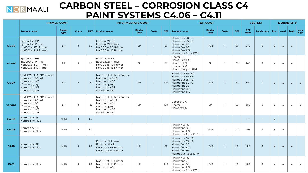

### **CARBON STEEL – CORROSION CLASS C4 PAINT SYSTEMS C4.06 – C4.11**

|         | <b>PRIMER COAT</b>                                                                                            |                       |                |     | <b>INTERMEDIATE COAT</b>                                                                                      |                       |                |      |                                                                                                                          | <b>TOP COAT</b>       |                |            |                     | <b>SYSTEM</b>      |           | <b>DURABILITY</b> |           |              |
|---------|---------------------------------------------------------------------------------------------------------------|-----------------------|----------------|-----|---------------------------------------------------------------------------------------------------------------|-----------------------|----------------|------|--------------------------------------------------------------------------------------------------------------------------|-----------------------|----------------|------------|---------------------|--------------------|-----------|-------------------|-----------|--------------|
|         | <b>Product name</b>                                                                                           | <b>Binder</b><br>type | <b>Coats</b>   | DFT | <b>Product name</b>                                                                                           | <b>Binder</b><br>type | <b>Coats</b>   | DFT. | <b>Product name</b>                                                                                                      | <b>Binder</b><br>type | <b>Coats</b>   | <b>DFT</b> | <b>DFT</b><br>total | <b>Total coats</b> | low       | med               | high      | very<br>high |
| C4.06   | Epocoat 21 HB<br>Epocoat 21 Primer<br>NorECOat FD Primer<br>NorECOat HS Primer                                | EP                    | $\mathbf{1}$   | 80  | Epocoat 21 HB<br>Epocoat 21 Primer<br>NorECOat FD Primer<br>NorECOat HS Primer                                | EP                    | $\overline{1}$ | 80   | Normadur 50 HS<br>Normadur 65 HS<br>Normafine 20<br>Normafine 80<br>Normafine HS<br>Normadur Aqua DTM                    | <b>PUR</b>            | $\mathbf{1}$   | 80         | 240                 | $\overline{3}$     | $\bullet$ | $\bullet$         | $\bullet$ |              |
| variant | Epocoat 21 HB<br>Epocoat 21 Primer<br>NorECOat FD Primer<br>NorECOat HS Primer                                | EP                    |                | 80  | Epocoat 21 HB<br>Epocoat 21 Primer<br>NorECOat FD Primer<br>NorECOat HS Primer                                | EP                    | $\mathbf{1}$   | 80   | Epotex HB<br>Noreguard HS<br>Norepox HS<br>Epocoat 210<br>Norepox Aqua DTM                                               | EP                    |                | 80         | 240                 | $\overline{3}$     | $\bullet$ | $\bullet$         | $\bullet$ |              |
| C4.07   | NorECOat FD MIO Primer<br>Normastic 405 AL<br>Normastic 405<br>Harmaa, grey<br>Normastic 405<br>Punainen, red | EP                    | $\mathbf{1}$   | 120 | NorECOat FD MIO Primer<br>Normastic 405 AL<br>Normastic 405<br>Harmaa, grey<br>Normastic 405<br>Punainen, red | EP                    | $\mathbf{1}$   | 120  | Normadur 50 (9:1)<br>Normadur 50 HS<br>Normadur 65 HS<br>Normafine 50 TC<br>Normafine 20<br>Normafine 80<br>Normafine HS | <b>PUR</b>            | $\mathbf{1}$   | 60         | 300                 | $\overline{3}$     | $\bullet$ | $\bullet$         | $\bullet$ |              |
| variant | NorECOat FD MIO Primer<br>Normastic 405 AL<br>Normastic 405<br>Harmaa, grey<br>Normastic 405<br>Punainen, red | EP                    | $\overline{1}$ | 120 | NorECOat FD MIO Primer<br>Normastic 405 AL<br>Normastic 405<br>Harmaa, grey<br>Normastic 405<br>Punainen, red | EP                    | $\overline{1}$ | 120  | Epocoat 210<br>Epotex HB<br>Norepox HS                                                                                   | EP                    |                | 60         | 300                 | $\overline{3}$     | $\bullet$ | $\bullet$         | $\bullet$ |              |
| C4.08   | Normazinc SE<br>Normazinc Plus                                                                                | Zn(R)                 | $\mathbf{1}$   | 60  |                                                                                                               |                       |                |      |                                                                                                                          |                       |                |            | 60                  | $\overline{1}$     | $\bullet$ |                   |           |              |
| C4.09   | Normazinc SE<br>Normazinc Plus                                                                                | Zn(R)                 | $\overline{1}$ | 60  |                                                                                                               |                       |                |      | Normadur 65<br>Normafine 80<br>Normafine HS<br>Normadur Aqua DTM                                                         | <b>PUR</b>            | $\overline{1}$ | 100        | 160                 | 2                  | $\bullet$ | $\bullet$         |           |              |
| C4.10   | Normazinc SE<br>Normazinc Plus                                                                                | Zn(R)                 | $\mathbf{1}$   | 60  | Epocoat 21 Primer<br>Epocoat 21 HB<br>NorECOat HS Primer<br>NorECOat FD Primer                                | EP                    | $\mathbf{1}$   | 80   | Normadur 50 HS<br>Normadur 65 HS<br>Normafine 20<br>Normafine 80<br>Normafine HS<br>Normadur Aqua DTM                    | <b>PUR</b>            | $\overline{1}$ | 60         | 200                 | $\overline{3}$     | $\bullet$ | $\bullet$         | $\bullet$ |              |
| C4.11   | Normazinc Plus                                                                                                | Zn(R)                 | $\mathbf{1}$   | 60  | NorECOat FD Primer<br>NorECOat HS Primer<br>Normastic 405                                                     | EP                    | $\overline{1}$ | 140  | Normadur 65 HS<br>Normafine 20<br>Normafine 80<br>Normafine HS<br>Normadur Aqua DTM                                      | <b>PUR</b>            |                | 60         | 260                 | 3                  | $\bullet$ | $\bullet$         | $\bullet$ |              |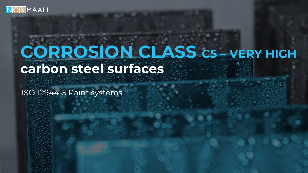

### **CORROSION CLASS C5 – VERY HIGH carbon steel surfaces**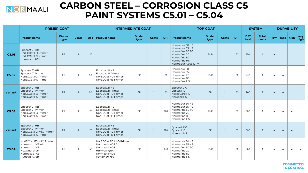

### **CARBON STEEL – CORROSION CLASS C5 PAINT SYSTEMS C5.01 – C5.04**

|                   |                                                                                                               | <b>PRIMER COAT</b>    |              |     | <b>INTERMEDIATE COAT</b>                                                                                      |                       |                |     |                                                                                                                          | <b>TOP COAT</b>       |              |            |                     | <b>SYSTEM</b>         |           |                | <b>DURABILITY</b> |              |
|-------------------|---------------------------------------------------------------------------------------------------------------|-----------------------|--------------|-----|---------------------------------------------------------------------------------------------------------------|-----------------------|----------------|-----|--------------------------------------------------------------------------------------------------------------------------|-----------------------|--------------|------------|---------------------|-----------------------|-----------|----------------|-------------------|--------------|
|                   | <b>Product name</b>                                                                                           | <b>Binder</b><br>type | <b>Coats</b> |     | <b>DFT</b> Product name                                                                                       | <b>Binder</b><br>type | Coats          |     | <b>DFT</b> Product name                                                                                                  | <b>Binder</b><br>type | <b>Coats</b> | <b>DFT</b> | <b>DFT</b><br>total | <b>Total</b><br>coats |           | $low$ med high |                   | very<br>high |
| C5.01             | Epocoat 21 HB<br>NorECOat FD Primer<br>NorECOat HS Primer<br>Normastic 405                                    | EP                    |              | 120 |                                                                                                               |                       |                |     | Normadur 50 HS<br>Normadur 65 HS<br>Normafine 50 TC<br>Normafine 20<br>Normafine 80<br>Normafine HS<br>Normadur Aqua DTM | <b>PUR</b>            |              | 60         | 180                 | $2^{\circ}$           | $\bullet$ |                |                   |              |
| C5.02             | Epocoat 21 HB<br>Epocoat 21 Primer<br>NorECOat FD Primer<br>NorECOat HS Primer                                | EP                    |              | 80  | Epocoat 21 HB<br>Epocoat 21 Primer<br>NorECOat FD Primer<br>NorECOat HS Primer                                | EP                    |                | 80  | Normadur 50 HS<br>Normadur 65 HS<br>Normafine 20<br>Normafine 80<br>Normafine HS                                         | <b>PUR</b>            |              | 80         | 240                 | 3                     | $\bullet$ | $\bullet$      |                   |              |
| variant           | Epocoat 21 HB<br>Epocoat 21 Primer<br>NorECOat FD Primer<br>NorECOat HS Primer                                | EP                    |              | 80  | Epocoat 21 HB<br>Epocoat 21 Primer<br>NorECOat FD Primer<br>NorECOat HS Primer                                | EP                    | $\overline{1}$ | 80  | Epocoat 210<br>Epotex HB<br>Noreguard HS<br>Norepox HS                                                                   | EP                    |              | 80         | 240                 | $\overline{3}$        | $\bullet$ | $\bullet$      |                   |              |
| C5.03             | Epocoat 21 HB<br>Epocoat 21 Primer<br>NorECOat FD Primer<br>NorECOat HS Primer                                | EP                    | $\mathbf{1}$ | 120 | Epocoat 21 HB<br>Epocoat 21 Primer<br>NorECOat FD Primer<br>NorECOat HS Primer                                | EP                    | $\mathbf{1}$   | 120 | Normadur 50 HS<br>Normadur 65 HS<br>Normafine 50 TC<br>Normafine 20<br>Normafine 80<br>Normafine HS                      | <b>PUR</b>            |              | 60         | 300                 | 3                     | $\bullet$ | $\bullet$      | $\bullet$         |              |
| variant           | Epocoat 21 HB<br>Epocoat 21 Primer<br>NorECOat FD MIO Primer<br>NorECOat HS Primer                            | EP                    |              | 120 | Epocoat 21 HB<br>Epocoat 21 Primer<br>NorECOat FD Primer<br>NorECOat HS Primer                                | EP                    | $\overline{1}$ | 120 | Epocoat 210<br>Epotex HB<br>Norepox HS                                                                                   | <b>EP</b>             |              | 60         | 300                 | $\overline{3}$        | $\bullet$ | $\bullet$      | $\bullet$         |              |
| C <sub>5.04</sub> | NorECOat FD MIO Primer<br>Normastic 405 AL<br>Normastic 405<br>Harmaa, grey<br>Normastic 405<br>Punainen, red | EP                    | $\mathbf{1}$ | 140 | NorECOat FD MIO Primer<br>Normastic 405 AL<br>Normastic 405<br>Harmaa, grey<br>Normastic 405<br>Punainen, red | EP                    | $\mathbf{1}$   | 140 | Normadur 50 HS<br>Normadur 65 HS<br>Normafine 50 TC<br>Normafine 20<br>Normafine 80<br>Normafine HS                      | PUR                   |              | 80         | 360                 | 3                     | $\bullet$ | $\bullet$      | $\bullet$         |              |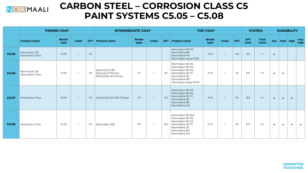

### **CARBON STEEL – CORROSION CLASS C5 PAINT SYSTEMS C5.05 – C5.08**

|       |                                | <b>PRIMER COAT</b>    |                |    | <b>INTERMEDIATE COAT</b>                                 |                       |              |     |                                                                                                                            | <b>TOP COAT</b>       |              |            |                     | <b>SYSTEM</b>         |           |                  | <b>DURABILITY</b> |              |
|-------|--------------------------------|-----------------------|----------------|----|----------------------------------------------------------|-----------------------|--------------|-----|----------------------------------------------------------------------------------------------------------------------------|-----------------------|--------------|------------|---------------------|-----------------------|-----------|------------------|-------------------|--------------|
|       | <b>Product name</b>            | <b>Binder</b><br>type | <b>Coats</b>   |    | <b>DFT</b> Product name                                  | <b>Binder</b><br>type | <b>Coats</b> |     | <b>DFT</b> Product name                                                                                                    | <b>Binder</b><br>type | <b>Coats</b> | <b>DFT</b> | <b>DFT</b><br>total | <b>Total</b><br>coats |           | low   med   high |                   | very<br>high |
| C5.05 | Normazinc SE<br>Normazinc Plus | Zn(R)                 | $\mathbf{1}$   | 60 |                                                          |                       |              |     | Normadur 65 HS<br>Normafine 80<br>Normafine HS<br>Normadur Aqua DTM                                                        | <b>PUR</b>            |              | 100        | 160                 | 2                     | $\bullet$ |                  |                   |              |
| C5.06 | Normazinc SE<br>Normazinc Plus | Zn(R)                 | $\overline{1}$ | 60 | Epocoat 21 HB<br>Epocoat 21 Primer<br>NorECOat HS Primer | EP                    |              | 80  | Normadur 65 HS<br>Normadur 50 HS<br>Normadur 65 HS<br>Normafine 50 TC<br>Normafine 20<br>Normafine 80<br>Normadur Aqua DTM | PUR                   |              | 60         | 200                 | $2 - 3$               | $\bullet$ | $\bullet$        |                   |              |
| C5.07 | Normazinc Plus                 | Zn(R)                 | $\mathbf{1}$   | 60 | NorECOat FD MIO Primer                                   | <b>EP</b>             |              | 120 | Normadur 50 HS<br>Normadur 65 HS<br>Normafine 50 TC<br>Normafine 20<br>Normafine 80<br>Normafine HS                        | <b>PUR</b>            |              | 80         | 260                 | $3 - 4$               | $\bullet$ | $\bullet$        | $\bullet$         |              |
| C5.08 | Normazinc Plus                 | Zn(R)                 | $\overline{1}$ | 60 | Normastic 405                                            | <b>EP</b>             |              | 200 | Normadur 50 (9:1)<br>Normadur 50 HS<br>Normadur 65 HS<br>Normafine 50 TC<br>Normafine 20<br>Normafine 80<br>Normafine HS   | <b>PUR</b>            |              | 60         | 320                 | $3 - 4$               | $\bullet$ | $\bullet$        | $\bullet$         |              |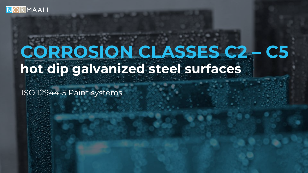

# **CORROSION CLASSES C2 – C5 hot dip galvanized steel surfaces**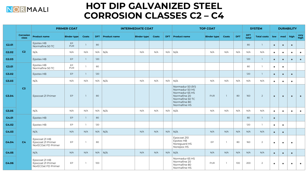

### **HOT DIP GALVANIZED STEEL CORROSION CLASSES C2 – C4**

|       |                           |                                                          | <b>PRIMER COAT</b> |                |     |                     | <b>INTERMEDIATE COAT</b> |       |            |                                                                                                                          | <b>TOP COAT</b>    |                |            |                     | <b>SYSTEM</b>      |           |             | <b>DURABILITY</b> |              |
|-------|---------------------------|----------------------------------------------------------|--------------------|----------------|-----|---------------------|--------------------------|-------|------------|--------------------------------------------------------------------------------------------------------------------------|--------------------|----------------|------------|---------------------|--------------------|-----------|-------------|-------------------|--------------|
|       | <b>Corrosion</b><br>class | <b>Product name</b>                                      | <b>Binder type</b> | Coats          | DFT | <b>Product name</b> | <b>Binder type</b>       | Coats | <b>DFT</b> | <b>Product name</b>                                                                                                      | <b>Binder type</b> | Coats          | <b>DFT</b> | <b>DFT</b><br>total | <b>Total coats</b> | low       | $ $ med $ $ | high              | very<br>high |
| G2.01 |                           | Epotex HB<br>Normafine 50 TC                             | EP<br><b>PUR</b>   | $\mathbf{1}$   | 80  |                     |                          |       |            |                                                                                                                          |                    |                |            | 80                  | $\mathbf{1}$       | $\bullet$ | $\bullet$   | $\bullet$         |              |
| G2.02 | C <sub>2</sub>            | N/A                                                      | N/A                | N/A            | N/A | N/A                 | N/A                      | N/A   | N/A        | N/A                                                                                                                      | N/A                | N/A            | N/A        | N/A                 | N/A                | $\bullet$ | $\bullet$   | $\bullet$         | $\bullet$    |
| G2.03 |                           | Epotex HB                                                | EP                 | $\mathbf{1}$   | 120 |                     |                          |       |            |                                                                                                                          |                    |                |            | 120                 | $\mathbf{1}$       | $\bullet$ | $\bullet$   | $\bullet$         | $\bullet$    |
| G3.01 |                           | Epotex HB<br>Normafine 50 TC                             | EP<br><b>PUR</b>   | $\mathbf{1}$   | 80  |                     |                          |       |            |                                                                                                                          |                    |                |            | 80                  | $\mathbf{1}$       | $\bullet$ | $\bullet$   |                   |              |
| G3.02 |                           | Epotex HB                                                | EP                 | $\mathbf{1}$   | 120 |                     |                          |       |            |                                                                                                                          |                    |                |            | 120                 | $\mathbf{1}$       | $\bullet$ | $\bullet$   | $\bullet$         |              |
| G3.03 |                           | N/A                                                      | N/A                | N/A            | N/A | N/A                 | N/A                      | N/A   | N/A        | N/A                                                                                                                      | N/A                | N/A            | N/A        | N/A                 | N/A                | $\bullet$ | $\bullet$   | $\bullet$         |              |
| G3.04 | C <sub>3</sub>            | Epocoat 21 Primer                                        | EP                 |                | 80  |                     |                          |       |            | Normadur 50 (9:1)<br>Normadur 50 HS<br>Normadur 65 HS<br>Normafine 20<br>Normafine 50 TC<br>Normafine 80<br>Normafine HS | PUR                | $\overline{1}$ | 80         | 160                 | $\overline{2}$     | $\bullet$ | $\bullet$   | $\bullet$         | $\bullet$    |
| G3.05 |                           | N/A                                                      | N/A                | N/A            | N/A | N/A                 | N/A                      | N/A   | N/A        | N/A                                                                                                                      | N/A                | N/A            | N/A        | N/A                 | N/A                | $\bullet$ | $\bullet$   | $\bullet$         | $\bullet$    |
| G4.01 |                           | Epotex HB                                                | EP                 | $\mathbb{1}$   | 80  |                     |                          |       |            |                                                                                                                          |                    |                |            | 80                  | $\mathbf{1}$       | $\bullet$ |             |                   |              |
| G4.02 |                           | Epotex HB                                                | EP                 | $\overline{1}$ | 120 |                     |                          |       |            |                                                                                                                          |                    |                |            | 120                 | $\mathbf{1}$       | $\bullet$ | $\bullet$   |                   |              |
| G4.03 |                           | N/A                                                      | N/A                | N/A            | N/A | N/A                 | N/A                      | N/A   | N/A        | N/A                                                                                                                      | N/A                | N/A            | N/A        | N/A                 | N/A                | $\bullet$ | $\bullet$   |                   |              |
| G4.04 | C <sub>4</sub>            | Epocoat 21 HB<br>Epocoat 21 Primer<br>NorECOat FD Primer | EP                 | -1             | 80  |                     |                          |       |            | Epocoat 210<br>Epotex HB<br>Noreguard HS<br>Norepox HS                                                                   | EP                 | $\mathbf{1}$   | 80         | 160                 | $\overline{2}$     | $\bullet$ | $\bullet$   | $\bullet$         |              |
| G4.05 |                           | N/A                                                      | N/A                | N/A            | N/A | N/A                 | N/A                      | N/A   | N/A        | N/A                                                                                                                      | N/A                | N/A            | N/A        | N/A                 | N/A                | $\bullet$ | $\bullet$   | $\bullet$         |              |
| G4.06 |                           | Epocoat 21 HB<br>Epocoat 21 Primer<br>NorECOat FD Primer | EP                 | $\overline{1}$ | 100 |                     |                          |       |            | Normadur 65 HS<br>Normafine 20<br>Normafine 80<br>Normafine HS                                                           | PUR                | $\mathbf{1}$   | 100        | 200                 | $\overline{2}$     | $\bullet$ | $\bullet$   | $\bullet$         | $\bullet$    |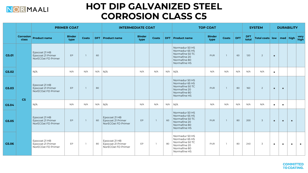

### **HOT DIP GALVANIZED STEEL CORROSION CLASS C5**

|       |                           |                                                          | <b>PRIMER COAT</b>    |              |     | <b>INTERMEDIATE COAT</b>                                 |                       |       |     |                                                                                                     | <b>TOP COAT</b>       |                |            |              | <b>SYSTEM</b>            |           |           | <b>DURABILITY</b> |              |
|-------|---------------------------|----------------------------------------------------------|-----------------------|--------------|-----|----------------------------------------------------------|-----------------------|-------|-----|-----------------------------------------------------------------------------------------------------|-----------------------|----------------|------------|--------------|--------------------------|-----------|-----------|-------------------|--------------|
|       | <b>Corrosion</b><br>class | <b>Product name</b>                                      | <b>Binder</b><br>type | Coats        |     | <b>DFT</b> Product name                                  | <b>Binder</b><br>type | Coats |     | <b>DFT</b> Product name                                                                             | <b>Binder</b><br>type | <b>Coats</b>   | <b>DFT</b> | DFT<br>total | Total coats low med high |           |           |                   | very<br>high |
| G5.01 |                           | Epocoat 21 HB<br>Epocoat 21 Primer<br>NorECOat FD Primer | <b>EP</b>             | $\mathbf{1}$ | 60  |                                                          |                       |       |     | Normadur 50 HS<br>Normadur 65 HS<br>Normafine 50 TC<br>Normafine 20<br>Normafine 80<br>Normafine HS | <b>PUR</b>            | $\overline{1}$ | 60         | 120          | 2                        | $\bullet$ |           |                   |              |
| G5.02 |                           | N/A                                                      | N/A                   | N/A          | N/A | N/A                                                      | N/A                   | N/A   | N/A | N/A                                                                                                 | N/A                   | N/A            | N/A        | N/A          | N/A                      | $\bullet$ |           |                   |              |
| G5.03 | C <sub>5</sub>            | Epocoat 21 HB<br>Epocoat 21 Primer<br>NorECOat FD Primer | EP                    | -1           | 80  |                                                          |                       |       |     | Normadur 50 HS<br>Normadur 65 HS<br>Normafine 50 TC<br>Normafine 20<br>Normafine 80<br>Normafine HS | <b>PUR</b>            | $\mathbf{1}$   | 80         | 160          | 2                        | $\bullet$ | $\bullet$ |                   |              |
| G5.04 |                           | N/A                                                      | N/A                   | N/A          | N/A | N/A                                                      | N/A                   | N/A   | N/A | N/A                                                                                                 | N/A                   | N/A            | N/A        | N/A          | N/A                      | $\bullet$ | $\bullet$ |                   |              |
| G5.05 |                           | Epocoat 21 HB<br>Epocoat 21 Primer<br>NorECOat FD Primer | EP                    | $\mathbf{1}$ | 60  | Epocoat 21 HB<br>Epocoat 21 Primer<br>NorECOat FD Primer | <b>EP</b>             |       | 60  | Normadur 50 HS<br>Normadur 65 HS<br>Normafine 50 TC<br>Normafine 20<br>Normafine 80<br>Normafine HS | <b>PUR</b>            | $\overline{1}$ | 80         | 200          | $\overline{3}$           | $\bullet$ | $\bullet$ | $\bullet$         |              |
| G5.06 |                           | Epocoat 21 HB<br>Epocoat 21 Primer<br>NorECOat FD Primer | EP                    | $\mathbf{1}$ | 80  | Epocoat 21 HB<br>Epocoat 21 Primer<br>NorECOat FD Primer | EP                    |       | 80  | Normadur 50 HS<br>Normadur 65 HS<br>Normafine 50 TC<br>Normafine 20<br>Normafine 80<br>Normafine HS | PUR                   | $\overline{1}$ | 80         | 240          | 3                        | $\bullet$ | $\bullet$ | $\bullet$         |              |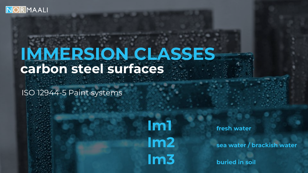

### **IMMERSION CLASSES carbon steel surfaces**

ISO 12944-5 Paint systems

**Im1 fresh water Im3 buried in soil** 

**Im2 sea water / brackish water**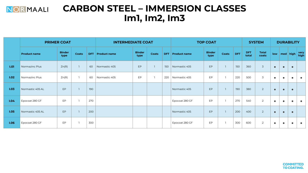

### **CARBON STEEL – IMMERSION CLASSES Im1, Im2, Im3**

|      |                     | <b>PRIMER COAT</b>    |              |     | <b>INTERMEDIATE COAT</b> |                       |              |            |                     | <b>TOP COAT</b>       |       |            |                     | <b>SYSTEM</b>         |           | <b>DURABILITY</b> |           |                   |
|------|---------------------|-----------------------|--------------|-----|--------------------------|-----------------------|--------------|------------|---------------------|-----------------------|-------|------------|---------------------|-----------------------|-----------|-------------------|-----------|-------------------|
|      | <b>Product name</b> | <b>Binder</b><br>type | <b>Coats</b> | DFT | <b>Product name</b>      | <b>Binder</b><br>type | <b>Coats</b> | <b>DFT</b> | <b>Product name</b> | <b>Binder</b><br>type | Coats | <b>DFT</b> | <b>DFT</b><br>total | <b>Total</b><br>coats |           |                   |           | low med high very |
| 1.01 | Normazinc Plus      | Zn(R)                 |              | 60  | Normastic 405            | EP                    |              | 150        | Normastic 405       | EP                    |       | 150        | 360                 | $\overline{3}$        | $\bullet$ | $\bullet$         | $\bullet$ |                   |
| 1.02 | Normazinc Plus      | Zn(R)                 |              | 60  | Normastic 405            | EP                    |              | 220        | Normastic 405       | EP                    |       | 220        | 500                 | 3                     | $\bullet$ | $\bullet$         | $\bullet$ | $\bullet$         |
| 1.03 | Normastic 405 AL    | EP                    |              | 190 |                          |                       |              |            | Normastic 405       | EP                    |       | 190        | 380                 | $\overline{2}$        | $\bullet$ | $\bullet$         | $\bullet$ |                   |
| 1.04 | Epocoat 280 GF      | EP                    |              | 270 |                          |                       |              |            | Epocoat 280 GF      | EP                    |       | 270        | 540                 | 2                     | $\bullet$ | $\bullet$         | $\bullet$ | $\bullet$         |
| 1.05 | Normastic 405 AL    | EP                    |              | 200 |                          |                       |              |            | Normastic 405       | EP                    |       | 200        | 400                 | $\overline{2}$        | $\bullet$ | $\bullet$         | $\bullet$ |                   |
| 1.06 | Epocoat 280 GF      | EP                    |              | 300 |                          |                       |              |            | Epocoat 280 GF      | EP                    |       | 300        | 600                 | 2                     | $\bullet$ | $\bullet$         | $\bullet$ | $\bullet$         |